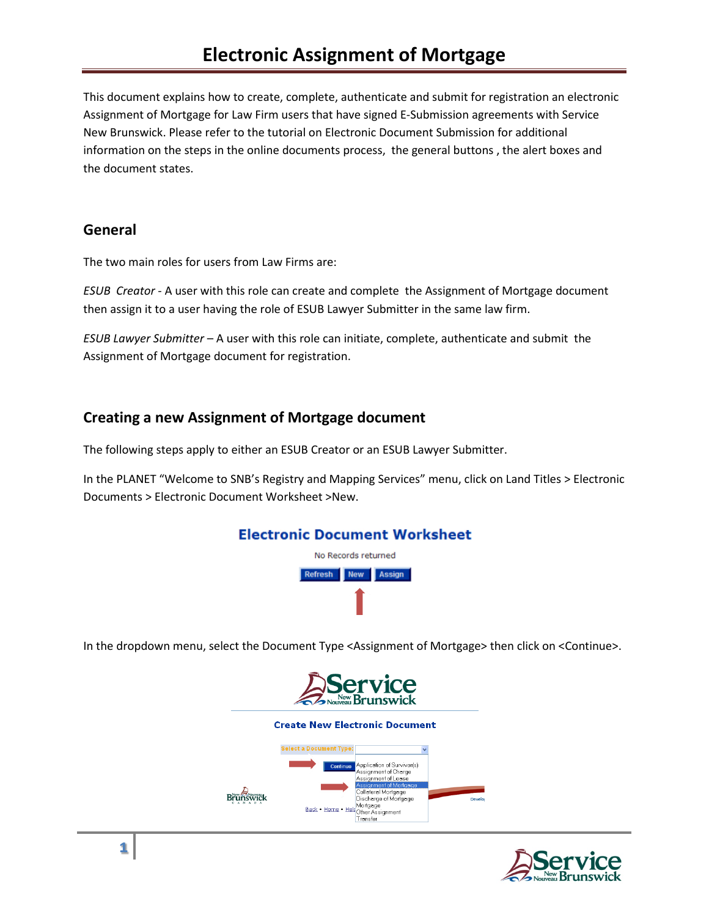This document explains how to create, complete, authenticate and submit for registration an electronic Assignment of Mortgage for Law Firm users that have signed E-Submission agreements with Service New Brunswick. Please refer to the tutorial on Electronic Document Submission for additional information on the steps in the online documents process, the general buttons , the alert boxes and the document states.

## **General**

The two main roles for users from Law Firms are:

*ESUB Creator* - A user with this role can create and complete the Assignment of Mortgage document then assign it to a user having the role of ESUB Lawyer Submitter in the same law firm.

*ESUB Lawyer Submitter* – A user with this role can initiate, complete, authenticate and submit the Assignment of Mortgage document for registration.

# **Creating a new Assignment of Mortgage document**

The following steps apply to either an ESUB Creator or an ESUB Lawyer Submitter.

In the PLANET "Welcome to SNB's Registry and Mapping Services" menu, click on Land Titles > Electronic Documents > Electronic Document Worksheet >New.



In the dropdown menu, select the Document Type <Assignment of Mortgage> then click on <Continue>.



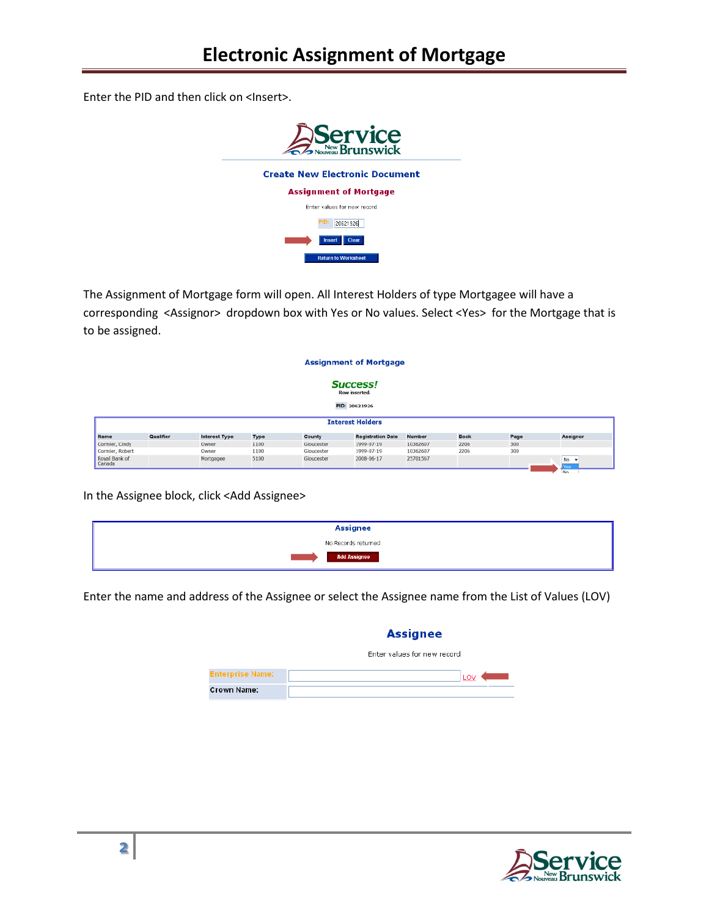Enter the PID and then click on <Insert>.



The Assignment of Mortgage form will open. All Interest Holders of type Mortgagee will have a corresponding <Assignor> dropdown box with Yes or No values. Select <Yes> for the Mortgage that is to be assigned.

| <b>Assignment of Mortgage</b>    |           |                      |      |            |                          |               |             |      |                 |
|----------------------------------|-----------|----------------------|------|------------|--------------------------|---------------|-------------|------|-----------------|
| <b>Success!</b><br>Row inserted. |           |                      |      |            |                          |               |             |      |                 |
|                                  |           |                      |      |            | PID: 20621926            |               |             |      |                 |
|                                  |           |                      |      |            | <b>Interest Holders</b>  |               |             |      |                 |
| <b>Name</b>                      | Qualifier | <b>Interest Type</b> | Type | County     | <b>Registration Date</b> | <b>Number</b> | <b>Book</b> | Page | <b>Assignor</b> |
| Cormier, Cindy                   |           | Owner                | 1100 | Gloucester | 1999-07-19               | 10362607      | 2206        | 300  |                 |
| Cormier, Robert                  |           | Owner                | 1100 | Gloucester | 1999-07-19               | 10362607      | 2206        | 300  |                 |
| Royal Bank of<br>Canada          |           | Mortgagee            | 5100 | Gloucester | 2008-06-17               | 25701567      |             |      | $No -w$<br>fes: |
|                                  |           |                      |      |            |                          |               |             |      | <b>No</b>       |

In the Assignee block, click <Add Assignee>

| Assignee            |
|---------------------|
| No Records returned |
| <b>Add Assignee</b> |

Enter the name and address of the Assignee or select the Assignee name from the List of Values (LOV)

### **Assignee**

|                         | Enter values for new record |
|-------------------------|-----------------------------|
| <b>Enterprise Name:</b> | LO\                         |
| Crown Name:             |                             |

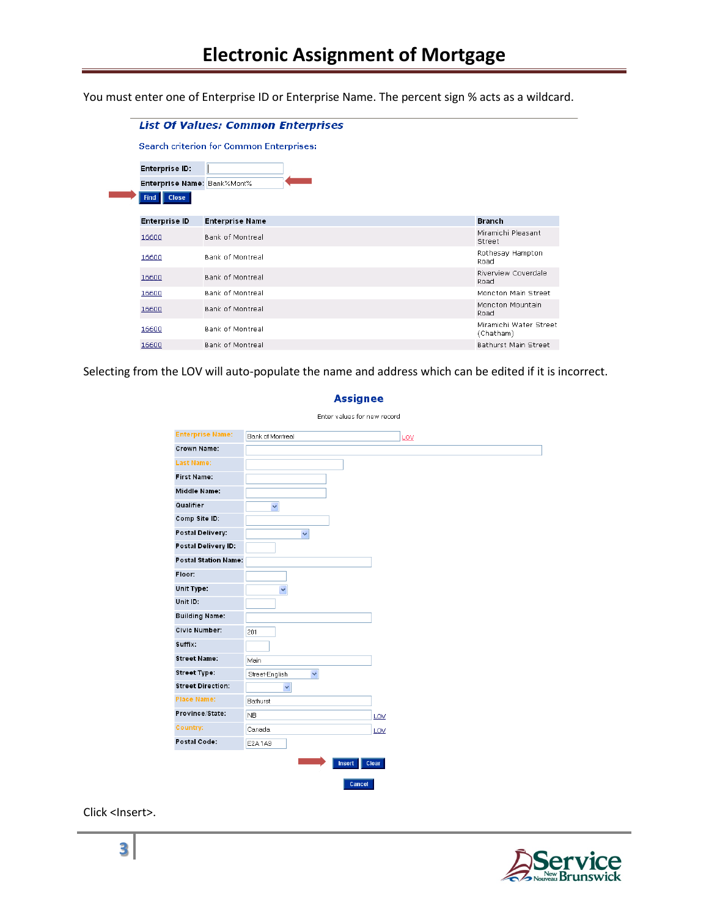You must enter one of Enterprise ID or Enterprise Name. The percent sign % acts as a wildcard.

|                             | <b>List Of Values: Common Enterprises</b>       |                                     |  |  |  |  |  |
|-----------------------------|-------------------------------------------------|-------------------------------------|--|--|--|--|--|
|                             | <b>Search criterion for Common Enterprises:</b> |                                     |  |  |  |  |  |
| <b>Enterprise ID:</b>       |                                                 |                                     |  |  |  |  |  |
| Enterprise Name: Bank%Mont% |                                                 |                                     |  |  |  |  |  |
| <b>Find</b><br><b>Close</b> |                                                 |                                     |  |  |  |  |  |
| <b>Enterprise ID</b>        | <b>Enterprise Name</b>                          | <b>Branch</b>                       |  |  |  |  |  |
| 16600                       | <b>Bank of Montreal</b>                         | Miramichi Pleasant<br>Street        |  |  |  |  |  |
| 16600                       | <b>Bank of Montreal</b>                         | Rothesay Hampton<br>Road            |  |  |  |  |  |
| 16600                       | Bank of Montreal                                | Riverview Coverdale<br>Road         |  |  |  |  |  |
| 16600                       | Bank of Montreal                                | Moncton Main Street                 |  |  |  |  |  |
| 16600                       | Bank of Montreal                                | Moncton Mountain<br>Road            |  |  |  |  |  |
| 16600                       | Bank of Montreal                                | Miramichi Water Street<br>(Chatham) |  |  |  |  |  |
| 16600                       | Bank of Montreal                                | <b>Bathurst Main Street</b>         |  |  |  |  |  |

Selecting from the LOV will auto-populate the name and address which can be edited if it is incorrect.

| <b>Enterprise Name:</b>     | Bank of Montreal               |     | LOV |
|-----------------------------|--------------------------------|-----|-----|
| <b>Crown Name:</b>          |                                |     |     |
| <b>Last Name:</b>           |                                |     |     |
| <b>First Name:</b>          |                                |     |     |
| Middle Name:                |                                |     |     |
| Qualifier                   | $\checkmark$                   |     |     |
| Comp Site ID:               |                                |     |     |
| Postal Delivery:            | $\checkmark$                   |     |     |
| Postal Delivery ID:         |                                |     |     |
| <b>Postal Station Name:</b> |                                |     |     |
| Floor:                      |                                |     |     |
| Unit Type:                  | $\ddot{\mathbf{v}}$            |     |     |
| Unit ID:                    |                                |     |     |
| <b>Building Name:</b>       |                                |     |     |
| <b>Civic Number:</b>        | 201                            |     |     |
| Suffix:                     |                                |     |     |
| <b>Street Name:</b>         | Main                           |     |     |
| <b>Street Type:</b>         | Street-English<br>$\checkmark$ |     |     |
| <b>Street Direction:</b>    | $\checkmark$                   |     |     |
| <b>Place Name:</b>          | Bathurst                       |     |     |
| Province/State:             | N <sub>B</sub>                 | LOV |     |
| <b>Country:</b>             | Canada                         | LOV |     |
| Postal Code:                | E2A1A9                         |     |     |

**Assignee** 

Click <Insert>.

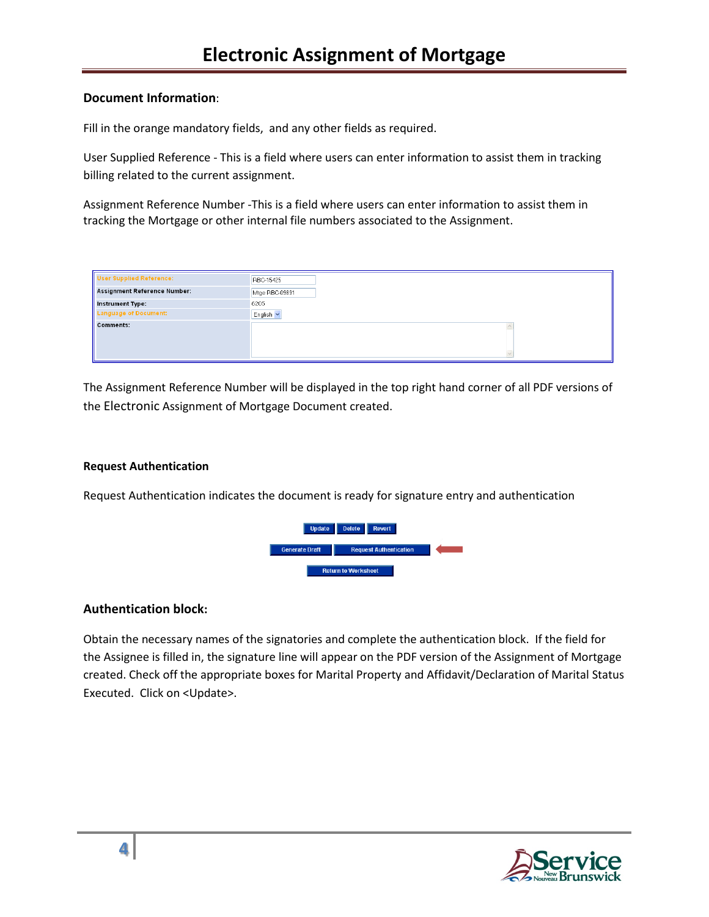### **Document Information**:

Fill in the orange mandatory fields, and any other fields as required.

User Supplied Reference - This is a field where users can enter information to assist them in tracking billing related to the current assignment.

Assignment Reference Number -This is a field where users can enter information to assist them in tracking the Mortgage or other internal file numbers associated to the Assignment.

| <b>User Supplied Reference:</b>     | <b>RBC-15425</b> |
|-------------------------------------|------------------|
| <b>Assignment Reference Number:</b> | Mtge RBC-09891   |
| Instrument Type:                    | 6205             |
| <b>Language of Document:</b>        | English v        |
| <b>Comments:</b>                    |                  |
|                                     |                  |

The Assignment Reference Number will be displayed in the top right hand corner of all PDF versions of the Electronic Assignment of Mortgage Document created.

#### **Request Authentication**

Request Authentication indicates the document is ready for signature entry and authentication



### **Authentication block:**

Obtain the necessary names of the signatories and complete the authentication block. If the field for the Assignee is filled in, the signature line will appear on the PDF version of the Assignment of Mortgage created. Check off the appropriate boxes for Marital Property and Affidavit/Declaration of Marital Status Executed. Click on <Update>.

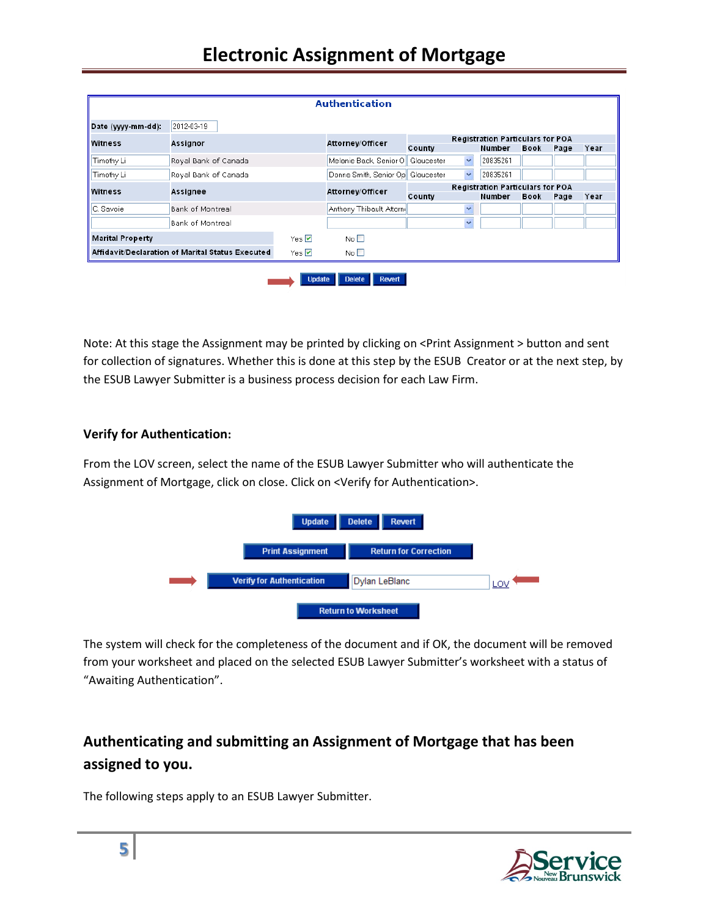# **Electronic Assignment of Mortgage**

|                                                  |                      |                     | <b>Authentication</b>             |            |                         |                                         |                                         |      |      |
|--------------------------------------------------|----------------------|---------------------|-----------------------------------|------------|-------------------------|-----------------------------------------|-----------------------------------------|------|------|
| Date (yyyy-mm-dd):                               | 2012-03-19           |                     |                                   |            |                         |                                         |                                         |      |      |
| Witness                                          | Assignor             |                     | Attorney/Officer                  |            |                         | <b>Registration Particulars for POA</b> |                                         |      |      |
|                                                  |                      |                     |                                   | County     |                         | Number                                  | Book                                    | Page | Year |
| Timothy Li                                       | Royal Bank of Canada |                     | Melanie Back, Senior Ol           | Gloucester | $\checkmark$            | 20835261                                |                                         |      |      |
| Timothy Li                                       | Royal Bank of Canada |                     | Donna Smith, Senior Op Gloucester |            | $\overline{\mathbf{v}}$ | 20835261                                |                                         |      |      |
| Witness                                          | Assignee             |                     | Attorney/Officer                  |            |                         |                                         | <b>Registration Particulars for POA</b> |      |      |
|                                                  |                      |                     |                                   | County     |                         | Number                                  | Book                                    | Page | Year |
| C. Savoie                                        | Bank of Montreal     |                     | Anthony Thibault, Attorni         |            | $\checkmark$            |                                         |                                         |      |      |
|                                                  | Bank of Montreal     |                     |                                   |            | $\ddotmark$             |                                         |                                         |      |      |
| <b>Marital Property</b>                          |                      | Yes <b>⊽</b>        | No $\square$                      |            |                         |                                         |                                         |      |      |
| Affidavit/Declaration of Marital Status Executed |                      | Yes $\triangledown$ | No <sub>1</sub>                   |            |                         |                                         |                                         |      |      |

Note: At this stage the Assignment may be printed by clicking on <Print Assignment > button and sent for collection of signatures. Whether this is done at this step by the ESUB Creator or at the next step, by the ESUB Lawyer Submitter is a business process decision for each Law Firm.

### **Verify for Authentication:**

From the LOV screen, select the name of the ESUB Lawyer Submitter who will authenticate the Assignment of Mortgage, click on close. Click on <Verify for Authentication>.



The system will check for the completeness of the document and if OK, the document will be removed from your worksheet and placed on the selected ESUB Lawyer Submitter's worksheet with a status of "Awaiting Authentication".

# **Authenticating and submitting an Assignment of Mortgage that has been assigned to you.**

The following steps apply to an ESUB Lawyer Submitter.

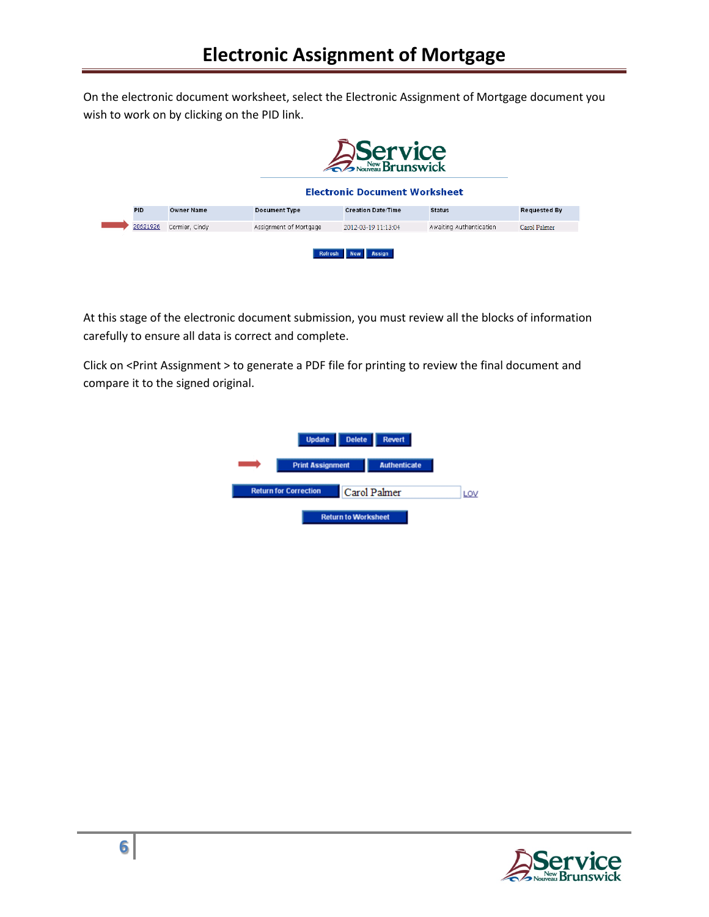On the electronic document worksheet, select the Electronic Assignment of Mortgage document you wish to work on by clicking on the PID link.

|            |                   |                        | Service<br>2 November Brunswick<br><b>Electronic Document Worksheet</b> |                         |                     |
|------------|-------------------|------------------------|-------------------------------------------------------------------------|-------------------------|---------------------|
| <b>PID</b> | <b>Owner Name</b> | <b>Document Type</b>   | <b>Creation Date/Time</b>                                               | <b>Status</b>           | <b>Requested By</b> |
| 20621926   | Cormier, Cindy    | Assignment of Mortgage | 2012-03-19 11:13:04                                                     | Awaiting Authentication | Carol Palmer        |
|            |                   | <b>Refresh</b>         | <b>Assign</b><br><b>New</b>                                             |                         |                     |

At this stage of the electronic document submission, you must review all the blocks of information carefully to ensure all data is correct and complete.

Click on <Print Assignment > to generate a PDF file for printing to review the final document and compare it to the signed original.

| <b>Update</b>                | <b>Delete</b>              | <b>Revert</b>       |     |
|------------------------------|----------------------------|---------------------|-----|
| <b>Print Assignment</b>      |                            | <b>Authenticate</b> |     |
| <b>Return for Correction</b> |                            | Carol Palmer        | LOV |
|                              | <b>Return to Worksheet</b> |                     |     |

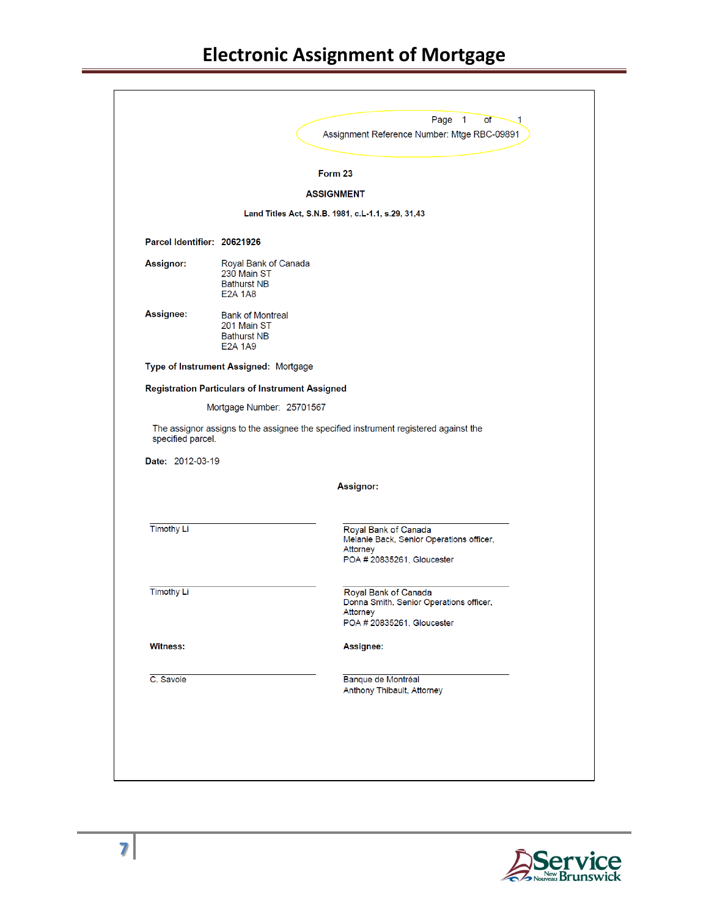|                   |                                                                                                  | Page 1<br><b>of</b><br>.1<br>Assignment Reference Number: Mtge RBC-09891                                   |
|-------------------|--------------------------------------------------------------------------------------------------|------------------------------------------------------------------------------------------------------------|
|                   |                                                                                                  | Form 23                                                                                                    |
|                   |                                                                                                  | <b>ASSIGNMENT</b>                                                                                          |
|                   |                                                                                                  | Land Titles Act, S.N.B. 1981, c.L. 1.1, s.29, 31,43                                                        |
|                   | Parcel Identifier: 20621926                                                                      |                                                                                                            |
| <b>Assignor:</b>  | Royal Bank of Canada<br>230 Main ST<br><b>Bathurst NB</b><br><b>E2A 1A8</b>                      |                                                                                                            |
| Assignee:         | <b>Bank of Montreal</b><br>201 Main ST<br><b>Bathurst NB</b><br>E <sub>2</sub> A 1A <sub>9</sub> |                                                                                                            |
|                   | Type of Instrument Assigned: Mortgage                                                            |                                                                                                            |
|                   | <b>Registration Particulars of Instrument Assigned</b>                                           |                                                                                                            |
|                   | Mortgage Number: 25701567                                                                        |                                                                                                            |
|                   |                                                                                                  |                                                                                                            |
| specified parcel. |                                                                                                  | The assignor assigns to the assignee the specified instrument registered against the                       |
| Date: 2012-03-19  |                                                                                                  | Assignor:                                                                                                  |
| <b>Timothy Li</b> |                                                                                                  | Royal Bank of Canada<br>Melanie Back, Senior Operations officer,<br>Attorney<br>POA # 20835261, Gloucester |
| <b>Timothy Li</b> |                                                                                                  | Royal Bank of Canada<br>Donna Smith, Senior Operations officer,<br>Attorney<br>POA # 20835261, Gloucester  |
| <b>Witness:</b>   |                                                                                                  | <b>Assignee:</b>                                                                                           |
| C. Savoie         |                                                                                                  | Banque de Montréal<br>Anthony Thibault, Attorney                                                           |

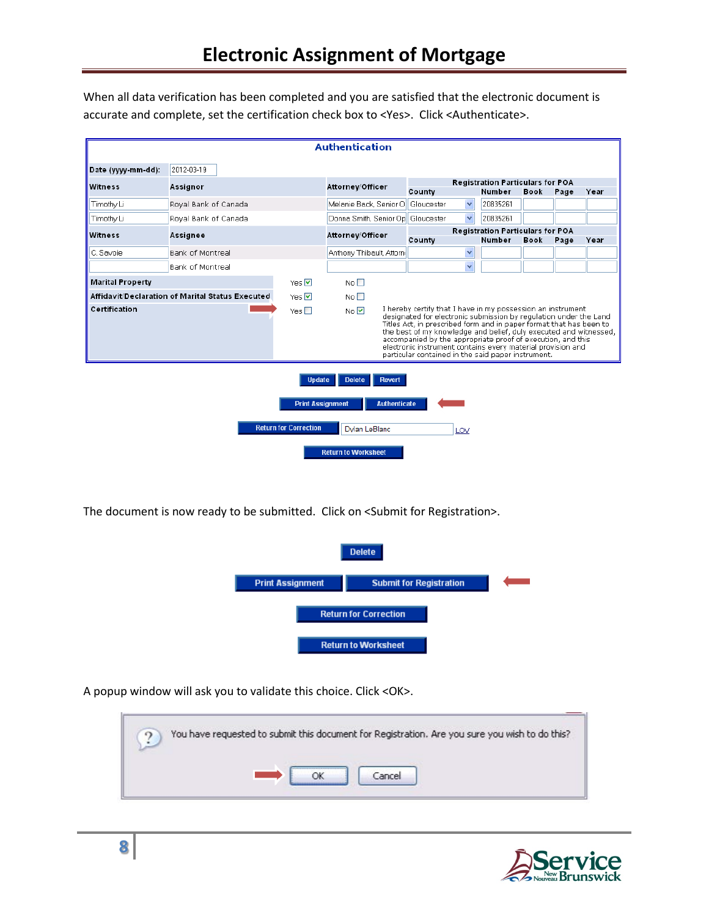When all data verification has been completed and you are satisfied that the electronic document is accurate and complete, set the certification check box to <Yes>. Click <Authenticate>.

|                                                                                                                                                           | <b>Authentication</b>                            |              |                                                                                                                                                                                                                                                                                                                                                                                                                                                                                 |                                      |                                                   |             |      |      |
|-----------------------------------------------------------------------------------------------------------------------------------------------------------|--------------------------------------------------|--------------|---------------------------------------------------------------------------------------------------------------------------------------------------------------------------------------------------------------------------------------------------------------------------------------------------------------------------------------------------------------------------------------------------------------------------------------------------------------------------------|--------------------------------------|---------------------------------------------------|-------------|------|------|
| Date (vvvv-mm-dd):                                                                                                                                        | 2012-03-19                                       |              |                                                                                                                                                                                                                                                                                                                                                                                                                                                                                 |                                      |                                                   |             |      |      |
| Witness                                                                                                                                                   | <b>Assignor</b>                                  |              | Attorney/Officer                                                                                                                                                                                                                                                                                                                                                                                                                                                                |                                      | <b>Registration Particulars for POA</b><br>Number | <b>Book</b> |      | Year |
| Timothy Li                                                                                                                                                | Royal Bank of Canada                             |              | Melanie Back, Senior O                                                                                                                                                                                                                                                                                                                                                                                                                                                          | County<br>Gloucester<br>$\checkmark$ | 20835261                                          |             | Page |      |
| Timothy Li                                                                                                                                                | Royal Bank of Canada                             |              | Donna Smith, Senior Op Gloucester                                                                                                                                                                                                                                                                                                                                                                                                                                               | $\checkmark$                         | 20835261                                          |             |      |      |
| Witness<br>Assignee                                                                                                                                       |                                                  |              | Attorney/Officer                                                                                                                                                                                                                                                                                                                                                                                                                                                                |                                      | <b>Registration Particulars for POA</b>           |             |      |      |
|                                                                                                                                                           |                                                  |              |                                                                                                                                                                                                                                                                                                                                                                                                                                                                                 | County                               | Number                                            | <b>Book</b> | Page | Year |
| C. Savoie                                                                                                                                                 | <b>Bank of Montreal</b>                          |              | Anthony Thibault, Attorni                                                                                                                                                                                                                                                                                                                                                                                                                                                       | $\checkmark$                         |                                                   |             |      |      |
|                                                                                                                                                           | <b>Bank of Montreal</b>                          |              |                                                                                                                                                                                                                                                                                                                                                                                                                                                                                 | $\ddotmark$                          |                                                   |             |      |      |
| <b>Marital Property</b>                                                                                                                                   |                                                  | Yes $\nabla$ | No <sub>1</sub>                                                                                                                                                                                                                                                                                                                                                                                                                                                                 |                                      |                                                   |             |      |      |
|                                                                                                                                                           | Affidavit/Declaration of Marital Status Executed | Yes $\nabla$ | $N_0 \Box$                                                                                                                                                                                                                                                                                                                                                                                                                                                                      |                                      |                                                   |             |      |      |
| Certification                                                                                                                                             |                                                  | Yes $\Box$   | I hereby certify that I have in my possession an instrument<br>No $\nabla$<br>designated for electronic submission by regulation under the Land<br>Titles Act, in prescribed form and in paper format that has been to<br>the best of my knowledge and belief, duly executed and witnessed,<br>accompanied by the appropriate proof of execution, and this<br>electronic instrument contains every material provision and<br>particular contained in the said paper instrument. |                                      |                                                   |             |      |      |
| <b>Update</b><br><b>Delete</b><br><b>Revert</b><br><b>Print Assignment</b><br><b>Authenticate</b><br><b>Return for Correction</b><br>Dylan LeBlanc<br>LOV |                                                  |              |                                                                                                                                                                                                                                                                                                                                                                                                                                                                                 |                                      |                                                   |             |      |      |
|                                                                                                                                                           |                                                  |              | <b>Return to Worksheet</b>                                                                                                                                                                                                                                                                                                                                                                                                                                                      |                                      |                                                   |             |      |      |

The document is now ready to be submitted. Click on <Submit for Registration>.



A popup window will ask you to validate this choice. Click <OK>.

| You have requested to submit this document for Registration. Are you sure you wish to do this? |
|------------------------------------------------------------------------------------------------|
|                                                                                                |

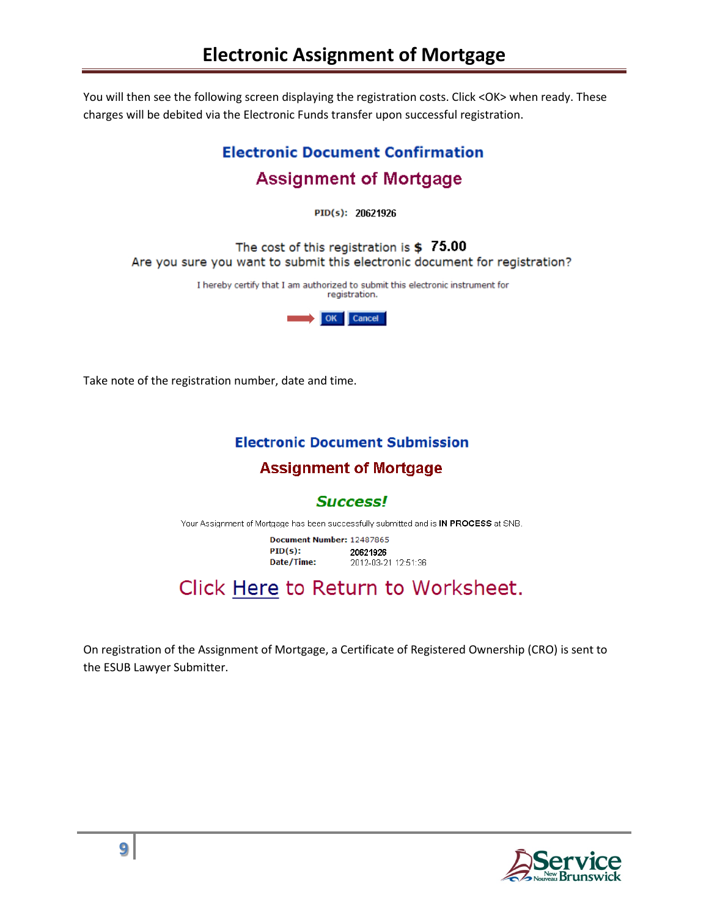You will then see the following screen displaying the registration costs. Click <OK> when ready. These charges will be debited via the Electronic Funds transfer upon successful registration.

# **Electronic Document Confirmation Assignment of Mortgage**

PID(s): 20621926

The cost of this registration is  $$75.00$ Are you sure you want to submit this electronic document for registration?

> I hereby certify that I am authorized to submit this electronic instrument for registration.



Take note of the registration number, date and time.

## **Electronic Document Submission**

# **Assignment of Mortgage**

# **Success!**

Your Assignment of Mortgage has been successfully submitted and is IN PROCESS at SNB.

Document Number: 12487865  $PID(s):$ 20621926 Date/Time: 2012-03-21 12:51:36

# Click Here to Return to Worksheet.

On registration of the Assignment of Mortgage, a Certificate of Registered Ownership (CRO) is sent to the ESUB Lawyer Submitter.